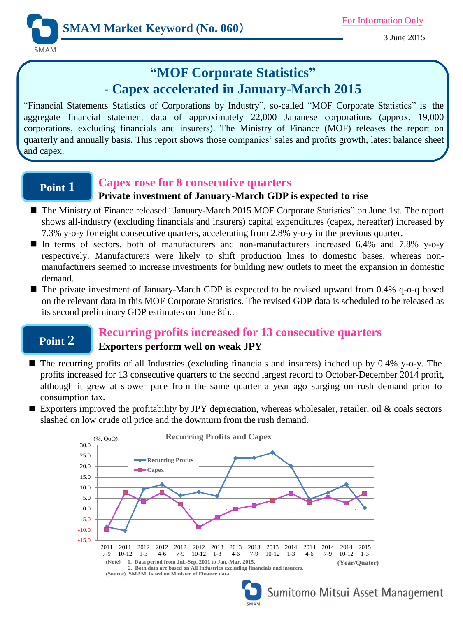3 June 2015

# **"MOF Corporate Statistics" - Capex accelerated in January-March 2015**

"Financial Statements Statistics of Corporations by Industry", so-called "MOF Corporate Statistics" is the aggregate financial statement data of approximately 22,000 Japanese corporations (approx. 19,000 corporations, excluding financials and insurers). The Ministry of Finance (MOF) releases the report on quarterly and annually basis. This report shows those companies' sales and profits growth, latest balance sheet and capex.

## **Point 1**

### **Capex rose for 8 consecutive quarters**

### **Private investment of January-March GDP is expected to rise**

- The Ministry of Finance released "January-March 2015 MOF Corporate Statistics" on June 1st. The report shows all-industry (excluding financials and insurers) capital expenditures (capex, hereafter) increased by 7.3% y-o-y for eight consecutive quarters, accelerating from 2.8% y-o-y in the previous quarter.
- In terms of sectors, both of manufacturers and non-manufacturers increased 6.4% and 7.8% y-o-y respectively. Manufacturers were likely to shift production lines to domestic bases, whereas nonmanufacturers seemed to increase investments for building new outlets to meet the expansion in domestic demand.
- The private investment of January-March GDP is expected to be revised upward from 0.4% q-o-q based on the relevant data in this MOF Corporate Statistics. The revised GDP data is scheduled to be released as its second preliminary GDP estimates on June 8th..

## **Point 2**

### **Recurring profits increased for 13 consecutive quarters Exporters perform well on weak JPY**

- $\blacksquare$  The recurring profits of all Industries (excluding financials and insurers) inched up by 0.4% y-o-y. The profits increased for 13 consecutive quarters to the second largest record to October-December 2014 profit, although it grew at slower pace from the same quarter a year ago surging on rush demand prior to consumption tax.
- Exporters improved the profitability by JPY depreciation, whereas wholesaler, retailer, oil  $\&$  coals sectors slashed on low crude oil price and the downturn from the rush demand.





Sumitomo Mitsui Asset Management